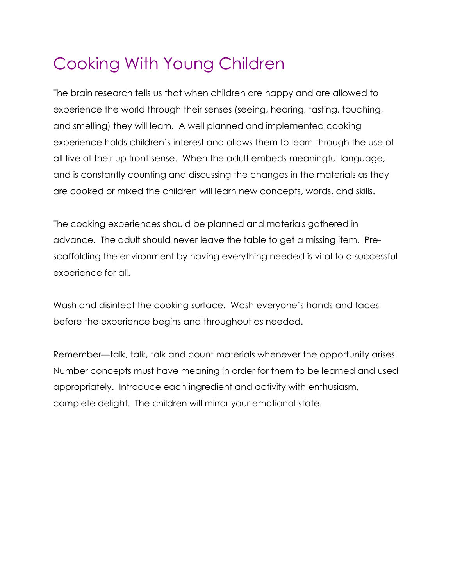# Cooking With Young Children

The brain research tells us that when children are happy and are allowed to experience the world through their senses (seeing, hearing, tasting, touching, and smelling) they will learn. A well planned and implemented cooking experience holds children's interest and allows them to learn through the use of all five of their up front sense. When the adult embeds meaningful language, and is constantly counting and discussing the changes in the materials as they are cooked or mixed the children will learn new concepts, words, and skills.

The cooking experiences should be planned and materials gathered in advance. The adult should never leave the table to get a missing item. Prescaffolding the environment by having everything needed is vital to a successful experience for all.

Wash and disinfect the cooking surface. Wash everyone's hands and faces before the experience begins and throughout as needed.

Remember—talk, talk, talk and count materials whenever the opportunity arises. Number concepts must have meaning in order for them to be learned and used appropriately. Introduce each ingredient and activity with enthusiasm, complete delight. The children will mirror your emotional state.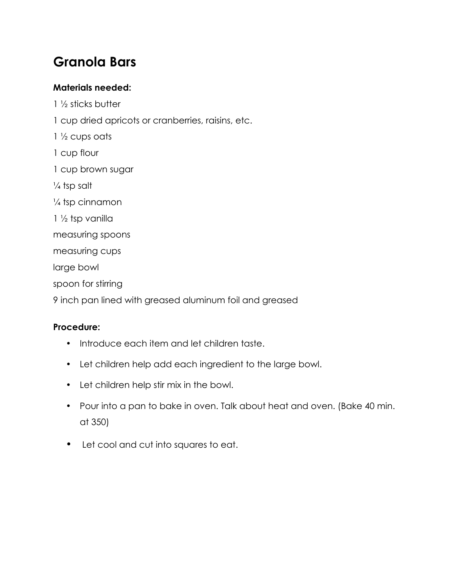# **Granola Bars**

### **Materials needed:**

1 ½ sticks butter 1 cup dried apricots or cranberries, raisins, etc.  $1\frac{1}{2}$  cups oats 1 cup flour 1 cup brown sugar  $\frac{1}{4}$  tsp salt  $\frac{1}{4}$  tsp cinnamon 1 ½ tsp vanilla measuring spoons measuring cups large bowl spoon for stirring 9 inch pan lined with greased aluminum foil and greased

- Introduce each item and let children taste.
- Let children help add each ingredient to the large bowl.
- Let children help stir mix in the bowl.
- Pour into a pan to bake in oven. Talk about heat and oven. (Bake 40 min. at 350)
- Let cool and cut into squares to eat.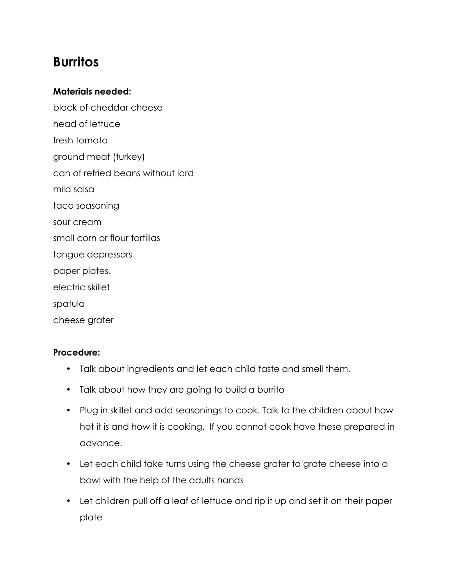### **Burritos**

#### **Materials needed:**

block of cheddar cheese head of lettuce fresh tomato ground meat (turkey) can of refried beans without lard mild salsa taco seasoning sour cream small corn or flour tortillas tongue depressors paper plates, electric skillet spatula cheese grater

- Talk about ingredients and let each child taste and smell them.
- Talk about how they are going to build a burrito
- Plug in skillet and add seasonings to cook. Talk to the children about how hot it is and how it is cooking. If you cannot cook have these prepared in advance.
- Let each child take turns using the cheese grater to grate cheese into a bowl with the help of the adults hands
- Let children pull off a leaf of lettuce and rip it up and set it on their paper plate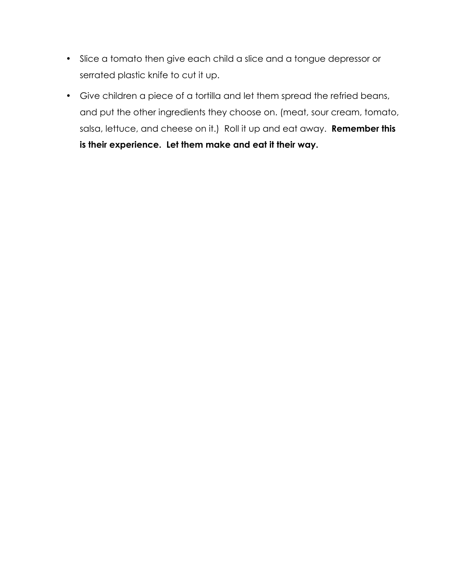- Slice a tomato then give each child a slice and a tongue depressor or serrated plastic knife to cut it up.
- Give children a piece of a tortilla and let them spread the refried beans, and put the other ingredients they choose on. (meat, sour cream, tomato, salsa, lettuce, and cheese on it.) Roll it up and eat away. **Remember this is their experience. Let them make and eat it their way.**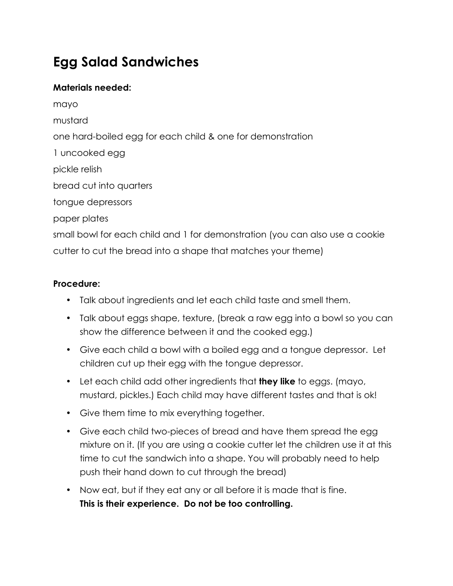# **Egg Salad Sandwiches**

### **Materials needed:**

mayo mustard one hard-boiled egg for each child & one for demonstration 1 uncooked egg pickle relish bread cut into quarters tongue depressors paper plates small bowl for each child and 1 for demonstration (you can also use a cookie cutter to cut the bread into a shape that matches your theme)

- Talk about ingredients and let each child taste and smell them.
- Talk about eggs shape, texture, (break a raw egg into a bowl so you can show the difference between it and the cooked egg.)
- Give each child a bowl with a boiled egg and a tongue depressor. Let children cut up their egg with the tongue depressor.
- Let each child add other ingredients that **they like** to eggs. (mayo, mustard, pickles.) Each child may have different tastes and that is ok!
- Give them time to mix everything together.
- Give each child two-pieces of bread and have them spread the egg mixture on it. (If you are using a cookie cutter let the children use it at this time to cut the sandwich into a shape. You will probably need to help push their hand down to cut through the bread)
- Now eat, but if they eat any or all before it is made that is fine. **This is their experience. Do not be too controlling.**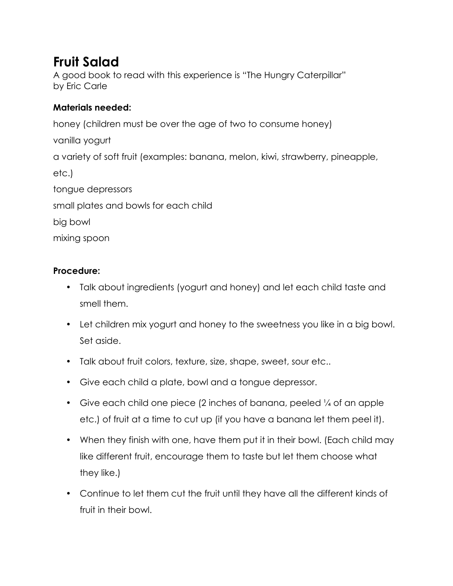# **Fruit Salad**

A good book to read with this experience is "The Hungry Caterpillar" by Eric Carle

### **Materials needed:**

honey (children must be over the age of two to consume honey) vanilla yogurt a variety of soft fruit (examples: banana, melon, kiwi, strawberry, pineapple, etc.) tongue depressors small plates and bowls for each child big bowl mixing spoon

- Talk about ingredients (yogurt and honey) and let each child taste and smell them.
- Let children mix yogurt and honey to the sweetness you like in a big bowl. Set aside.
- Talk about fruit colors, texture, size, shape, sweet, sour etc..
- Give each child a plate, bowl and a tongue depressor.
- Give each child one piece (2 inches of banana, peeled  $\frac{1}{4}$  of an apple etc.) of fruit at a time to cut up (if you have a banana let them peel it).
- When they finish with one, have them put it in their bowl. (Each child may like different fruit, encourage them to taste but let them choose what they like.)
- Continue to let them cut the fruit until they have all the different kinds of fruit in their bowl.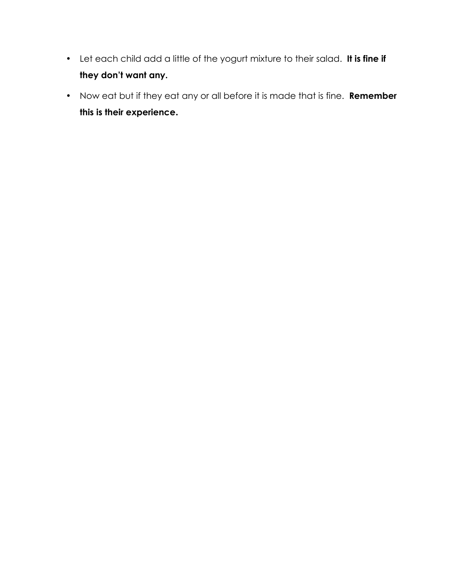- Let each child add a little of the yogurt mixture to their salad. **It is fine if they don't want any.**
- Now eat but if they eat any or all before it is made that is fine. **Remember this is their experience.**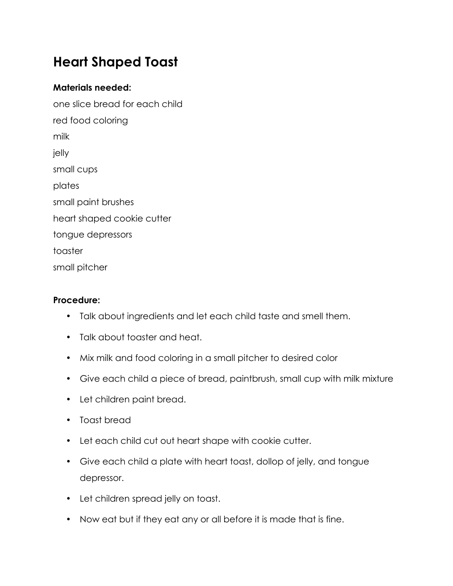# **Heart Shaped Toast**

#### **Materials needed:**

one slice bread for each child red food coloring milk jelly small cups plates small paint brushes heart shaped cookie cutter tongue depressors toaster small pitcher

- Talk about ingredients and let each child taste and smell them.
- Talk about toaster and heat.
- Mix milk and food coloring in a small pitcher to desired color
- Give each child a piece of bread, paintbrush, small cup with milk mixture
- Let children paint bread.
- Toast bread
- Let each child cut out heart shape with cookie cutter.
- Give each child a plate with heart toast, dollop of jelly, and tongue depressor.
- Let children spread jelly on toast.
- Now eat but if they eat any or all before it is made that is fine.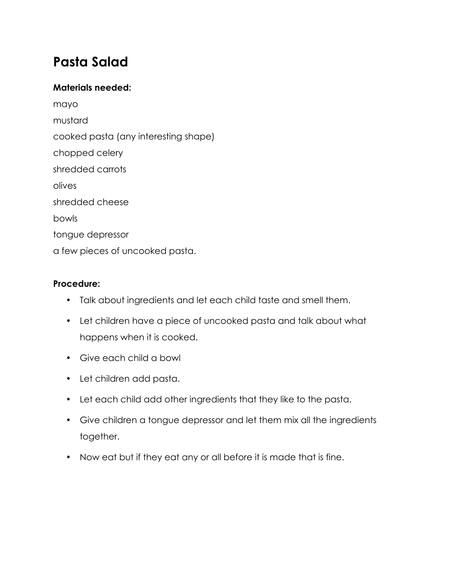### **Pasta Salad**

#### **Materials needed:**

mayo mustard cooked pasta (any interesting shape) chopped celery shredded carrots olives shredded cheese bowls tongue depressor a few pieces of uncooked pasta.

- Talk about ingredients and let each child taste and smell them.
- Let children have a piece of uncooked pasta and talk about what happens when it is cooked.
- Give each child a bowl
- Let children add pasta.
- Let each child add other ingredients that they like to the pasta.
- Give children a tongue depressor and let them mix all the ingredients together.
- Now eat but if they eat any or all before it is made that is fine.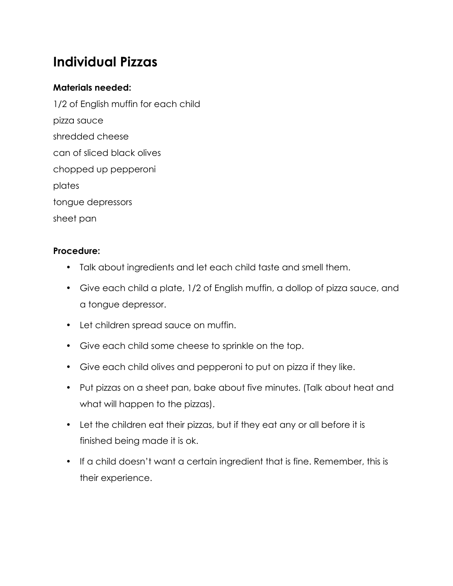# **Individual Pizzas**

### **Materials needed:**

1/2 of English muffin for each child pizza sauce shredded cheese can of sliced black olives chopped up pepperoni plates tongue depressors sheet pan

- Talk about ingredients and let each child taste and smell them.
- Give each child a plate, 1/2 of English muffin, a dollop of pizza sauce, and a tongue depressor.
- Let children spread sauce on muffin.
- Give each child some cheese to sprinkle on the top.
- Give each child olives and pepperoni to put on pizza if they like.
- Put pizzas on a sheet pan, bake about five minutes. (Talk about heat and what will happen to the pizzas).
- Let the children eat their pizzas, but if they eat any or all before it is finished being made it is ok.
- If a child doesn't want a certain ingredient that is fine. Remember, this is their experience.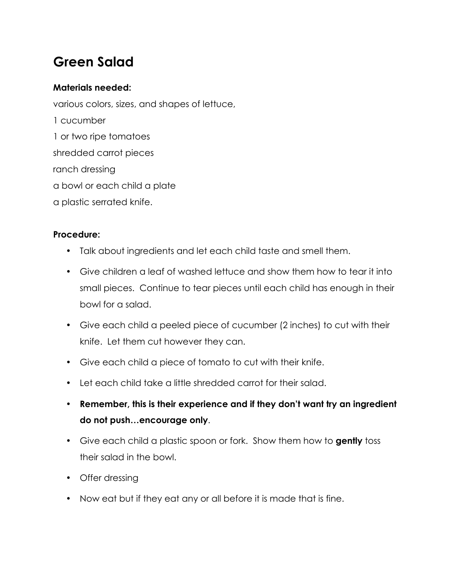# **Green Salad**

#### **Materials needed:**

various colors, sizes, and shapes of lettuce,

- 1 cucumber
- 1 or two ripe tomatoes
- shredded carrot pieces
- ranch dressing
- a bowl or each child a plate
- a plastic serrated knife.

- Talk about ingredients and let each child taste and smell them.
- Give children a leaf of washed lettuce and show them how to tear it into small pieces. Continue to tear pieces until each child has enough in their bowl for a salad.
- Give each child a peeled piece of cucumber (2 inches) to cut with their knife. Let them cut however they can.
- Give each child a piece of tomato to cut with their knife.
- Let each child take a little shredded carrot for their salad.
- **Remember, this is their experience and if they don't want try an ingredient do not push…encourage only**.
- Give each child a plastic spoon or fork. Show them how to **gently** toss their salad in the bowl.
- Offer dressing
- Now eat but if they eat any or all before it is made that is fine.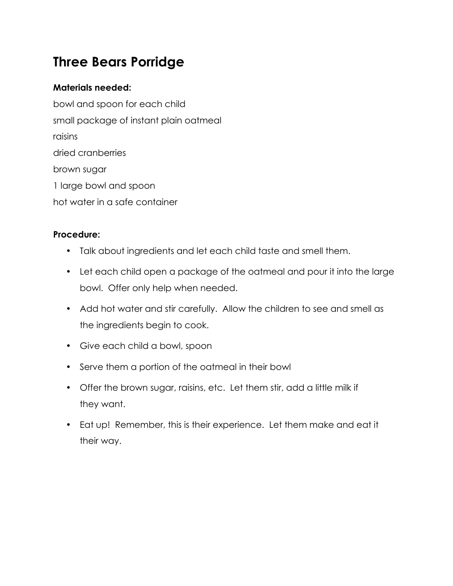# **Three Bears Porridge**

### **Materials needed:**

bowl and spoon for each child small package of instant plain oatmeal raisins dried cranberries brown sugar 1 large bowl and spoon hot water in a safe container

- Talk about ingredients and let each child taste and smell them.
- Let each child open a package of the oatmeal and pour it into the large bowl. Offer only help when needed.
- Add hot water and stir carefully. Allow the children to see and smell as the ingredients begin to cook.
- Give each child a bowl, spoon
- Serve them a portion of the oatmeal in their bowl
- Offer the brown sugar, raisins, etc. Let them stir, add a little milk if they want.
- Eat up! Remember, this is their experience. Let them make and eat it their way.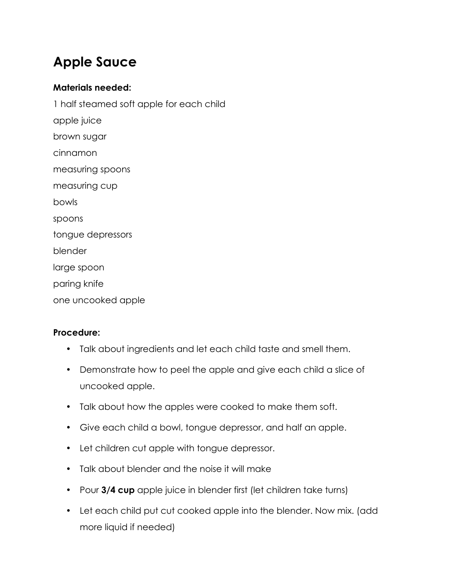# **Apple Sauce**

#### **Materials needed:**

1 half steamed soft apple for each child apple juice brown sugar cinnamon measuring spoons measuring cup bowls spoons tongue depressors blender large spoon paring knife one uncooked apple

- Talk about ingredients and let each child taste and smell them.
- Demonstrate how to peel the apple and give each child a slice of uncooked apple.
- Talk about how the apples were cooked to make them soft.
- Give each child a bowl, tongue depressor, and half an apple.
- Let children cut apple with tongue depressor.
- Talk about blender and the noise it will make
- Pour **3/4 cup** apple juice in blender first (let children take turns)
- Let each child put cut cooked apple into the blender. Now mix. (add more liquid if needed)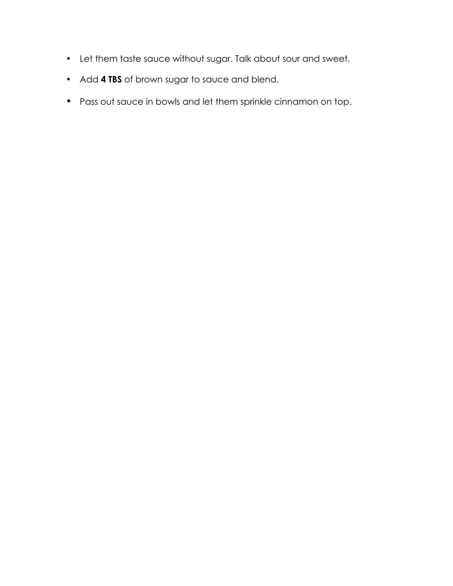- Let them taste sauce without sugar. Talk about sour and sweet.
- Add **4 TBS** of brown sugar to sauce and blend.
- Pass out sauce in bowls and let them sprinkle cinnamon on top.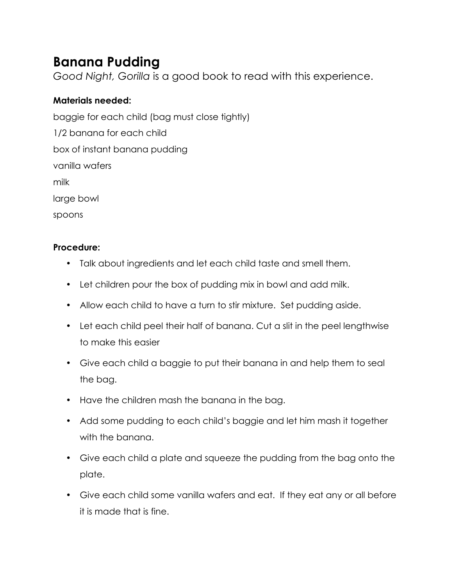# **Banana Pudding**

*Good Night, Gorilla* is a good book to read with this experience.

### **Materials needed:**

baggie for each child (bag must close tightly) 1/2 banana for each child box of instant banana pudding vanilla wafers milk large bowl spoons

- Talk about ingredients and let each child taste and smell them.
- Let children pour the box of pudding mix in bowl and add milk.
- Allow each child to have a turn to stir mixture. Set pudding aside.
- Let each child peel their half of banana. Cut a slit in the peel lengthwise to make this easier
- Give each child a baggie to put their banana in and help them to seal the bag.
- Have the children mash the banana in the bag.
- Add some pudding to each child's baggie and let him mash it together with the banana.
- Give each child a plate and squeeze the pudding from the bag onto the plate.
- Give each child some vanilla wafers and eat. If they eat any or all before it is made that is fine.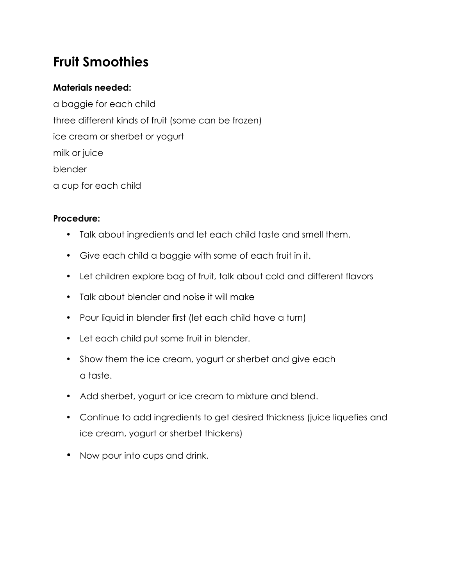# **Fruit Smoothies**

#### **Materials needed:**

a baggie for each child three different kinds of fruit (some can be frozen) ice cream or sherbet or yogurt milk or juice blender a cup for each child

- Talk about ingredients and let each child taste and smell them.
- Give each child a baggie with some of each fruit in it.
- Let children explore bag of fruit, talk about cold and different flavors
- Talk about blender and noise it will make
- Pour liquid in blender first (let each child have a turn)
- Let each child put some fruit in blender.
- Show them the ice cream, yogurt or sherbet and give each a taste.
- Add sherbet, yogurt or ice cream to mixture and blend.
- Continue to add ingredients to get desired thickness (juice liquefies and ice cream, yogurt or sherbet thickens)
- Now pour into cups and drink.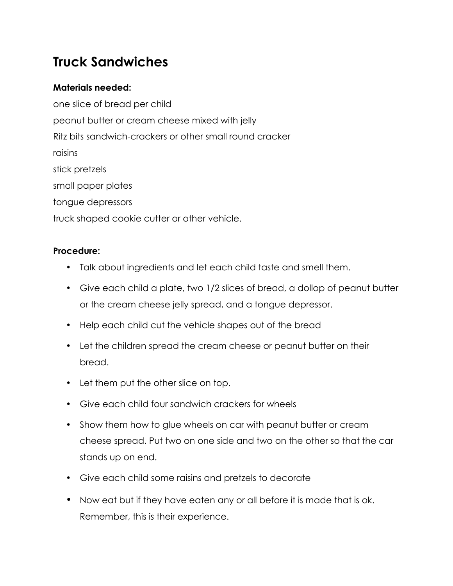# **Truck Sandwiches**

### **Materials needed:**

one slice of bread per child peanut butter or cream cheese mixed with jelly Ritz bits sandwich-crackers or other small round cracker raisins stick pretzels small paper plates tongue depressors truck shaped cookie cutter or other vehicle.

- Talk about ingredients and let each child taste and smell them.
- Give each child a plate, two 1/2 slices of bread, a dollop of peanut butter or the cream cheese jelly spread, and a tongue depressor.
- Help each child cut the vehicle shapes out of the bread
- Let the children spread the cream cheese or peanut butter on their bread.
- Let them put the other slice on top.
- Give each child four sandwich crackers for wheels
- Show them how to glue wheels on car with peanut butter or cream cheese spread. Put two on one side and two on the other so that the car stands up on end.
- Give each child some raisins and pretzels to decorate
- Now eat but if they have eaten any or all before it is made that is ok. Remember, this is their experience.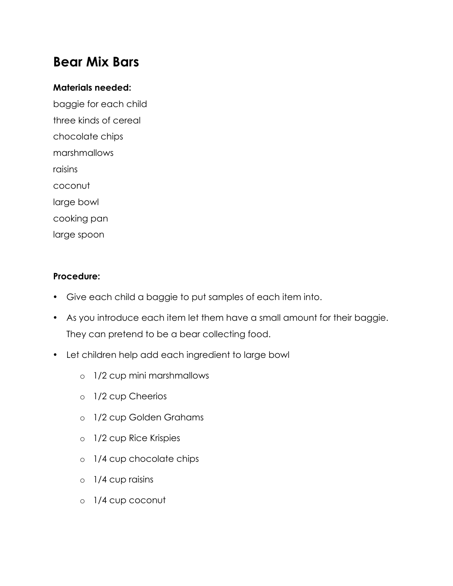### **Bear Mix Bars**

#### **Materials needed:**

baggie for each child three kinds of cereal chocolate chips marshmallows raisins coconut large bowl cooking pan large spoon

- Give each child a baggie to put samples of each item into.
- As you introduce each item let them have a small amount for their baggie. They can pretend to be a bear collecting food.
- Let children help add each ingredient to large bowl
	- o 1/2 cup mini marshmallows
	- o 1/2 cup Cheerios
	- o 1/2 cup Golden Grahams
	- o 1/2 cup Rice Krispies
	- o 1/4 cup chocolate chips
	- o 1/4 cup raisins
	- o 1/4 cup coconut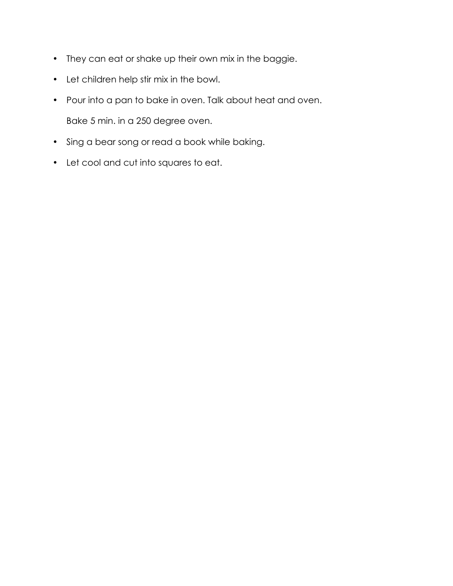- They can eat or shake up their own mix in the baggie.
- Let children help stir mix in the bowl.
- Pour into a pan to bake in oven. Talk about heat and oven. Bake 5 min. in a 250 degree oven.
- Sing a bear song or read a book while baking.
- Let cool and cut into squares to eat.